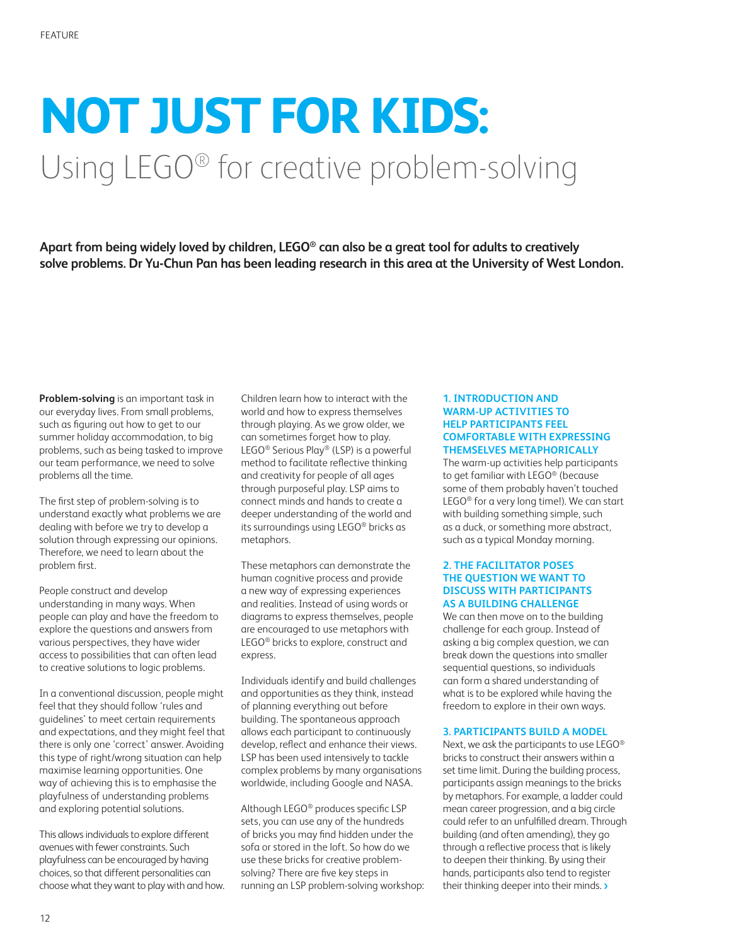# **NOT JUST FOR KIDS:** Using LEGO® for creative problem-solving

**Apart from being widely loved by children, LEGO® can also be a great tool for adults to creatively solve problems. Dr Yu-Chun Pan has been leading research in this area at the University of West London.**

**Problem-solving** is an important task in our everyday lives. From small problems, such as figuring out how to get to our summer holiday accommodation, to big problems, such as being tasked to improve our team performance, we need to solve problems all the time.

The first step of problem-solving is to understand exactly what problems we are dealing with before we try to develop a solution through expressing our opinions. Therefore, we need to learn about the problem first.

People construct and develop understanding in many ways. When people can play and have the freedom to explore the questions and answers from various perspectives, they have wider access to possibilities that can often lead to creative solutions to logic problems.

In a conventional discussion, people might feel that they should follow 'rules and guidelines' to meet certain requirements and expectations, and they might feel that there is only one 'correct' answer. Avoiding this type of right/wrong situation can help maximise learning opportunities. One way of achieving this is to emphasise the playfulness of understanding problems and exploring potential solutions.

This allows individuals to explore different avenues with fewer constraints. Such playfulness can be encouraged by having choices, so that different personalities can choose what they want to play with and how. Children learn how to interact with the world and how to express themselves through playing. As we grow older, we can sometimes forget how to play. LEGO® Serious Play® (LSP) is a powerful method to facilitate reflective thinking and creativity for people of all ages through purposeful play. LSP aims to connect minds and hands to create a deeper understanding of the world and its surroundings using LEGO® bricks as metaphors.

These metaphors can demonstrate the human cognitive process and provide a new way of expressing experiences and realities. Instead of using words or diagrams to express themselves, people are encouraged to use metaphors with LEGO® bricks to explore, construct and express.

Individuals identify and build challenges and opportunities as they think, instead of planning everything out before building. The spontaneous approach allows each participant to continuously develop, reflect and enhance their views. LSP has been used intensively to tackle complex problems by many organisations worldwide, including Google and NASA.

Although LEGO® produces specific LSP sets, you can use any of the hundreds of bricks you may find hidden under the sofa or stored in the loft. So how do we use these bricks for creative problemsolving? There are five key steps in running an LSP problem-solving workshop:

#### **1. INTRODUCTION AND WARM-UP ACTIVITIES TO HELP PARTICIPANTS FEEL COMFORTABLE WITH EXPRESSING THEMSELVES METAPHORICALLY**

The warm-up activities help participants to get familiar with LEGO® (because some of them probably haven't touched LEGO® for a very long time!). We can start with building something simple, such as a duck, or something more abstract, such as a typical Monday morning.

#### **2. THE FACILITATOR POSES THE QUESTION WE WANT TO DISCUSS WITH PARTICIPANTS AS A BUILDING CHALLENGE**

We can then move on to the building challenge for each group. Instead of asking a big complex question, we can break down the questions into smaller sequential questions, so individuals can form a shared understanding of what is to be explored while having the freedom to explore in their own ways.

#### **3. PARTICIPANTS BUILD A MODEL**

Next, we ask the participants to use LEGO® bricks to construct their answers within a set time limit. During the building process, participants assign meanings to the bricks by metaphors. For example, a ladder could mean career progression, and a big circle could refer to an unfulfilled dream. Through building (and often amending), they go through a reflective process that is likely to deepen their thinking. By using their hands, participants also tend to register their thinking deeper into their minds. >